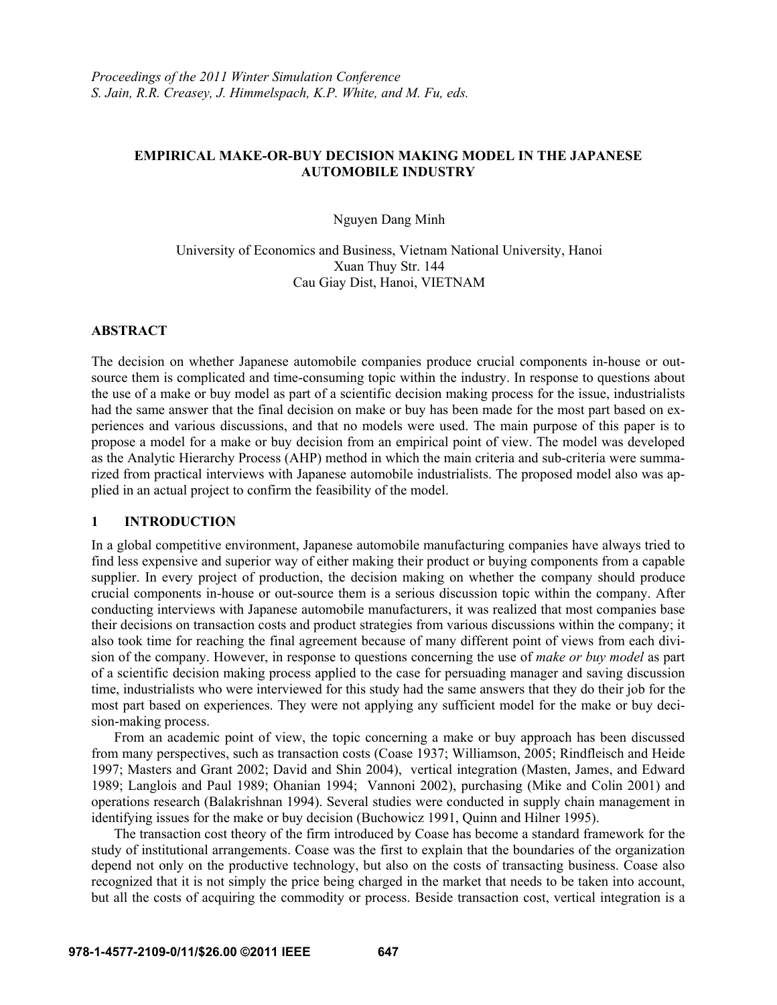### **EMPIRICAL MAKE-OR-BUY DECISION MAKING MODEL IN THE JAPANESE AUTOMOBILE INDUSTRY**

Nguyen Dang Minh

University of Economics and Business, Vietnam National University, Hanoi Xuan Thuy Str. 144 Cau Giay Dist, Hanoi, VIETNAM

#### **ABSTRACT**

The decision on whether Japanese automobile companies produce crucial components in-house or outsource them is complicated and time-consuming topic within the industry. In response to questions about the use of a make or buy model as part of a scientific decision making process for the issue, industrialists had the same answer that the final decision on make or buy has been made for the most part based on experiences and various discussions, and that no models were used. The main purpose of this paper is to propose a model for a make or buy decision from an empirical point of view. The model was developed as the Analytic Hierarchy Process (AHP) method in which the main criteria and sub-criteria were summarized from practical interviews with Japanese automobile industrialists. The proposed model also was applied in an actual project to confirm the feasibility of the model.

#### **1 INTRODUCTION**

In a global competitive environment, Japanese automobile manufacturing companies have always tried to find less expensive and superior way of either making their product or buying components from a capable supplier. In every project of production, the decision making on whether the company should produce crucial components in-house or out-source them is a serious discussion topic within the company. After conducting interviews with Japanese automobile manufacturers, it was realized that most companies base their decisions on transaction costs and product strategies from various discussions within the company; it also took time for reaching the final agreement because of many different point of views from each division of the company. However, in response to questions concerning the use of *make or buy model* as part of a scientific decision making process applied to the case for persuading manager and saving discussion time, industrialists who were interviewed for this study had the same answers that they do their job for the most part based on experiences. They were not applying any sufficient model for the make or buy decision-making process.

 From an academic point of view, the topic concerning a make or buy approach has been discussed from many perspectives, such as transaction costs (Coase 1937; Williamson, 2005; Rindfleisch and Heide 1997; Masters and Grant 2002; David and Shin 2004), vertical integration (Masten, James, and Edward 1989; Langlois and Paul 1989; Ohanian 1994; Vannoni 2002), purchasing (Mike and Colin 2001) and operations research (Balakrishnan 1994). Several studies were conducted in supply chain management in identifying issues for the make or buy decision (Buchowicz 1991, Quinn and Hilner 1995).

 The transaction cost theory of the firm introduced by Coase has become a standard framework for the study of institutional arrangements. Coase was the first to explain that the boundaries of the organization depend not only on the productive technology, but also on the costs of transacting business. Coase also recognized that it is not simply the price being charged in the market that needs to be taken into account, but all the costs of acquiring the commodity or process. Beside transaction cost, vertical integration is a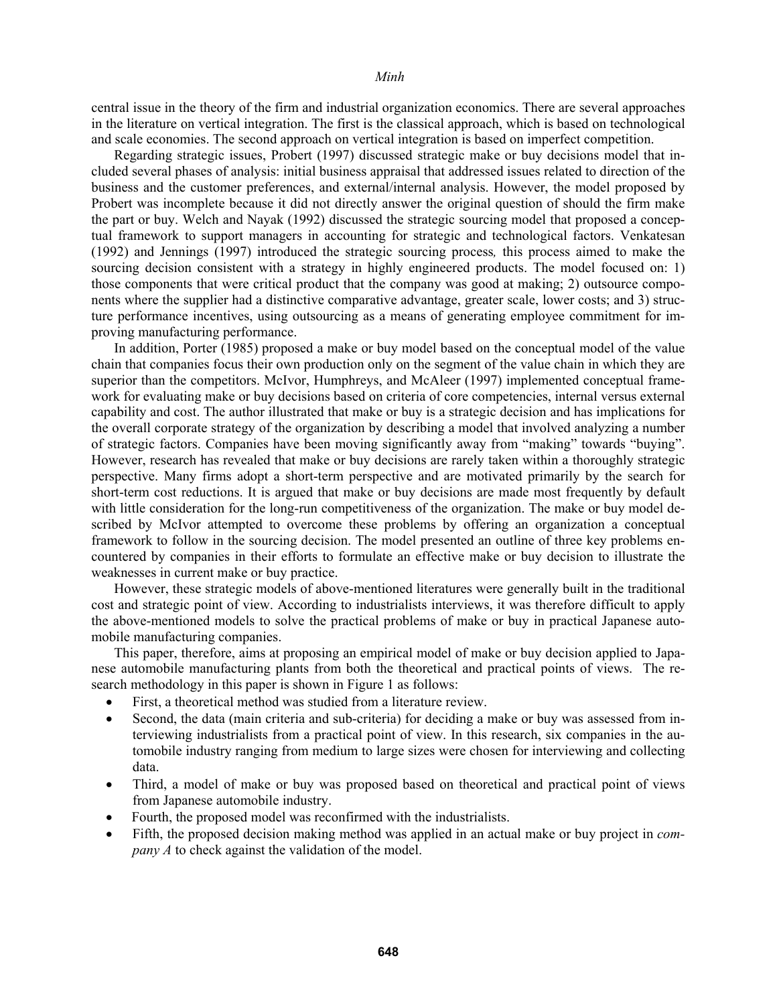central issue in the theory of the firm and industrial organization economics. There are several approaches in the literature on vertical integration. The first is the classical approach, which is based on technological and scale economies. The second approach on vertical integration is based on imperfect competition.

 Regarding strategic issues, Probert (1997) discussed strategic make or buy decisions model that included several phases of analysis: initial business appraisal that addressed issues related to direction of the business and the customer preferences, and external/internal analysis. However, the model proposed by Probert was incomplete because it did not directly answer the original question of should the firm make the part or buy. Welch and Nayak (1992) discussed the strategic sourcing model that proposed a conceptual framework to support managers in accounting for strategic and technological factors. Venkatesan (1992) and Jennings (1997) introduced the strategic sourcing process*,* this process aimed to make the sourcing decision consistent with a strategy in highly engineered products. The model focused on: 1) those components that were critical product that the company was good at making; 2) outsource components where the supplier had a distinctive comparative advantage, greater scale, lower costs; and 3) structure performance incentives, using outsourcing as a means of generating employee commitment for improving manufacturing performance.

 In addition, Porter (1985) proposed a make or buy model based on the conceptual model of the value chain that companies focus their own production only on the segment of the value chain in which they are superior than the competitors. McIvor, Humphreys, and McAleer (1997) implemented conceptual framework for evaluating make or buy decisions based on criteria of core competencies, internal versus external capability and cost. The author illustrated that make or buy is a strategic decision and has implications for the overall corporate strategy of the organization by describing a model that involved analyzing a number of strategic factors. Companies have been moving significantly away from "making" towards "buying". However, research has revealed that make or buy decisions are rarely taken within a thoroughly strategic perspective. Many firms adopt a short-term perspective and are motivated primarily by the search for short-term cost reductions. It is argued that make or buy decisions are made most frequently by default with little consideration for the long-run competitiveness of the organization. The make or buy model described by McIvor attempted to overcome these problems by offering an organization a conceptual framework to follow in the sourcing decision. The model presented an outline of three key problems encountered by companies in their efforts to formulate an effective make or buy decision to illustrate the weaknesses in current make or buy practice.

 However, these strategic models of above-mentioned literatures were generally built in the traditional cost and strategic point of view. According to industrialists interviews, it was therefore difficult to apply the above-mentioned models to solve the practical problems of make or buy in practical Japanese automobile manufacturing companies.

 This paper, therefore, aims at proposing an empirical model of make or buy decision applied to Japanese automobile manufacturing plants from both the theoretical and practical points of views. The research methodology in this paper is shown in Figure 1 as follows:

- First, a theoretical method was studied from a literature review.
- Second, the data (main criteria and sub-criteria) for deciding a make or buy was assessed from interviewing industrialists from a practical point of view. In this research, six companies in the automobile industry ranging from medium to large sizes were chosen for interviewing and collecting data.
- Third, a model of make or buy was proposed based on theoretical and practical point of views from Japanese automobile industry.
- Fourth, the proposed model was reconfirmed with the industrialists.
- Fifth, the proposed decision making method was applied in an actual make or buy project in *company A* to check against the validation of the model.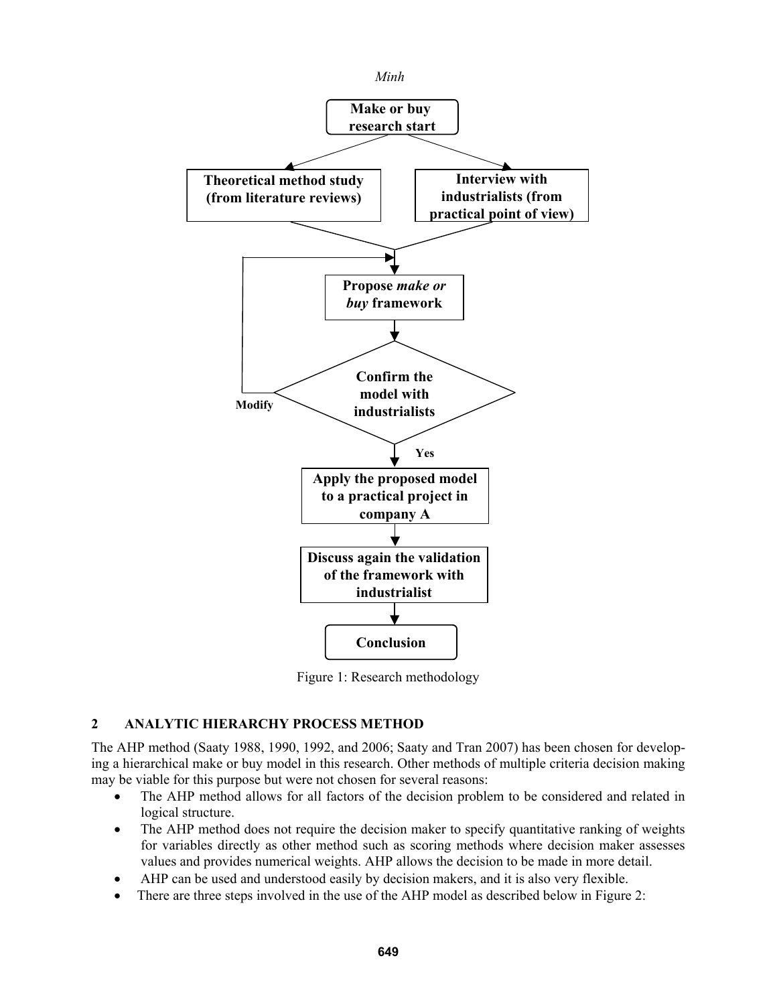

Figure 1: Research methodology

### **2 ANALYTIC HIERARCHY PROCESS METHOD**

The AHP method (Saaty 1988, 1990, 1992, and 2006; Saaty and Tran 2007) has been chosen for developing a hierarchical make or buy model in this research. Other methods of multiple criteria decision making may be viable for this purpose but were not chosen for several reasons:

- The AHP method allows for all factors of the decision problem to be considered and related in logical structure.
- The AHP method does not require the decision maker to specify quantitative ranking of weights for variables directly as other method such as scoring methods where decision maker assesses values and provides numerical weights. AHP allows the decision to be made in more detail.
- AHP can be used and understood easily by decision makers, and it is also very flexible.
- There are three steps involved in the use of the AHP model as described below in Figure 2: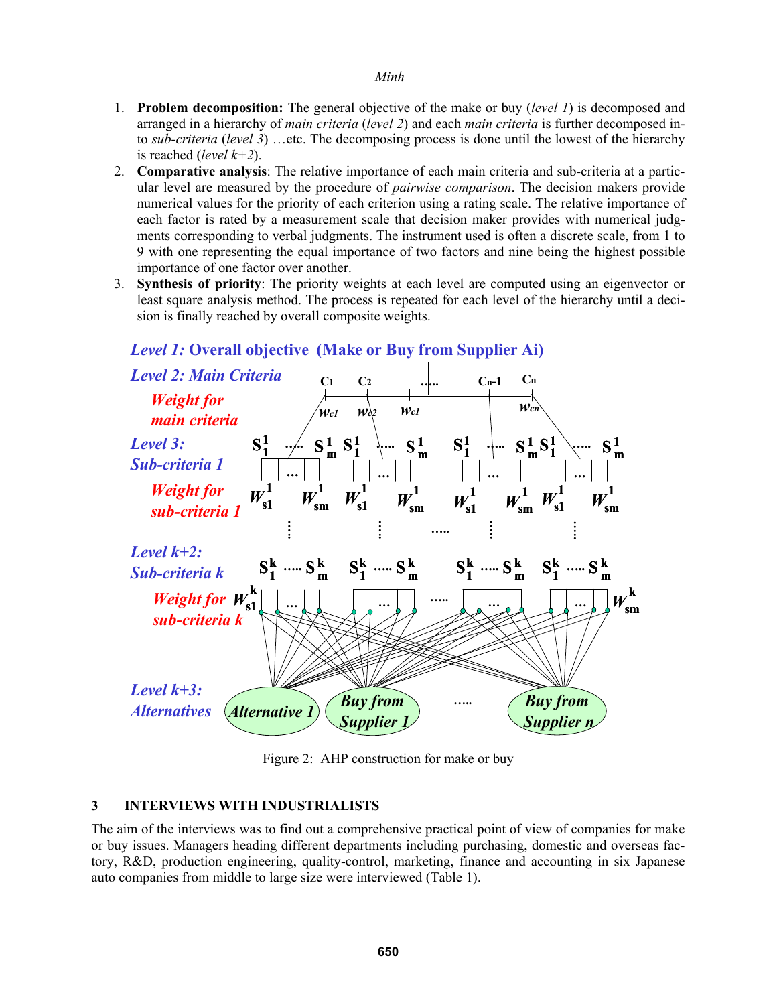- 1. **Problem decomposition:** The general objective of the make or buy (*level 1*) is decomposed and arranged in a hierarchy of *main criteria* (*level 2*) and each *main criteria* is further decomposed into *sub-criteria* (*level 3*) …etc. The decomposing process is done until the lowest of the hierarchy is reached (*level k+2*).
- 2. **Comparative analysis**: The relative importance of each main criteria and sub-criteria at a particular level are measured by the procedure of *pairwise comparison*. The decision makers provide numerical values for the priority of each criterion using a rating scale. The relative importance of each factor is rated by a measurement scale that decision maker provides with numerical judgments corresponding to verbal judgments. The instrument used is often a discrete scale, from 1 to 9 with one representing the equal importance of two factors and nine being the highest possible importance of one factor over another.
- 3. **Synthesis of priority**: The priority weights at each level are computed using an eigenvector or least square analysis method. The process is repeated for each level of the hierarchy until a decision is finally reached by overall composite weights.



# *Level 1:* **Overall objective (Make or Buy from Supplier Ai)**

Figure 2: AHP construction for make or buy

## **3 INTERVIEWS WITH INDUSTRIALISTS**

The aim of the interviews was to find out a comprehensive practical point of view of companies for make or buy issues. Managers heading different departments including purchasing, domestic and overseas factory, R&D, production engineering, quality-control, marketing, finance and accounting in six Japanese auto companies from middle to large size were interviewed (Table 1).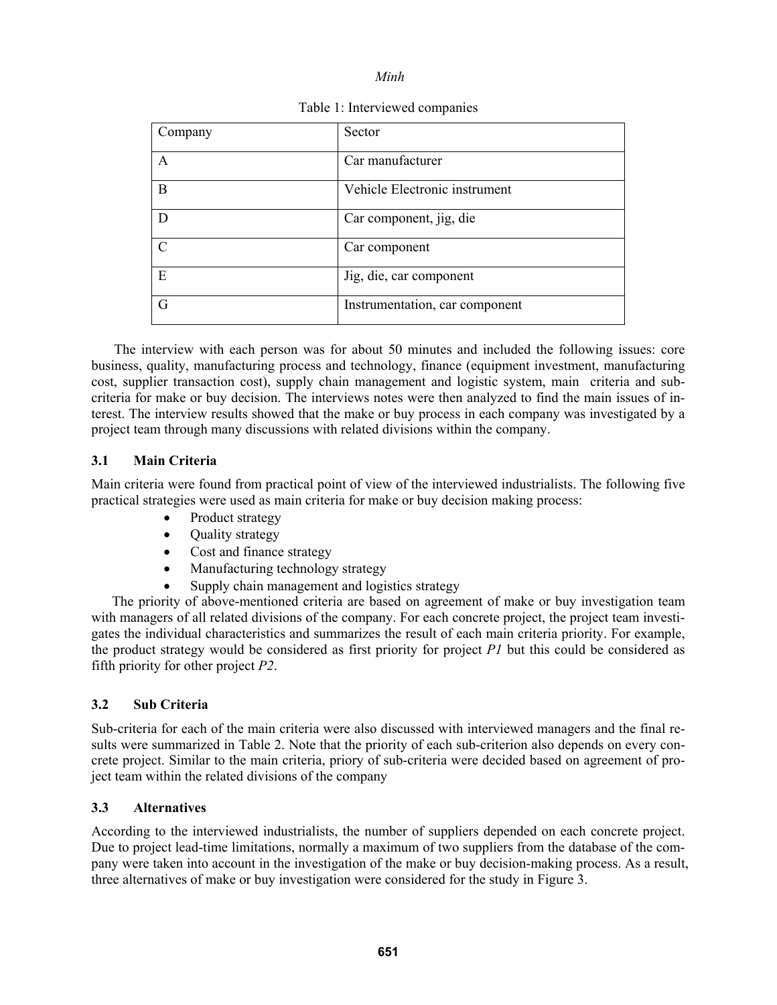| Company       | Sector                         |
|---------------|--------------------------------|
| А             | Car manufacturer               |
| B             | Vehicle Electronic instrument  |
| D             | Car component, jig, die        |
| $\mathcal{C}$ | Car component                  |
| E             | Jig, die, car component        |
| G             | Instrumentation, car component |

### Table 1: Interviewed companies

The interview with each person was for about 50 minutes and included the following issues: core business, quality, manufacturing process and technology, finance (equipment investment, manufacturing cost, supplier transaction cost), supply chain management and logistic system, main criteria and subcriteria for make or buy decision. The interviews notes were then analyzed to find the main issues of interest. The interview results showed that the make or buy process in each company was investigated by a project team through many discussions with related divisions within the company.

## **3.1 Main Criteria**

Main criteria were found from practical point of view of the interviewed industrialists. The following five practical strategies were used as main criteria for make or buy decision making process:

- Product strategy
- Quality strategy
- Cost and finance strategy
- Manufacturing technology strategy
- Supply chain management and logistics strategy

 The priority of above-mentioned criteria are based on agreement of make or buy investigation team with managers of all related divisions of the company. For each concrete project, the project team investigates the individual characteristics and summarizes the result of each main criteria priority. For example, the product strategy would be considered as first priority for project *P1* but this could be considered as fifth priority for other project *P2*.

### **3.2 Sub Criteria**

Sub-criteria for each of the main criteria were also discussed with interviewed managers and the final results were summarized in Table 2. Note that the priority of each sub-criterion also depends on every concrete project. Similar to the main criteria, priory of sub-criteria were decided based on agreement of project team within the related divisions of the company

### **3.3 Alternatives**

According to the interviewed industrialists, the number of suppliers depended on each concrete project. Due to project lead-time limitations, normally a maximum of two suppliers from the database of the company were taken into account in the investigation of the make or buy decision-making process. As a result, three alternatives of make or buy investigation were considered for the study in Figure 3.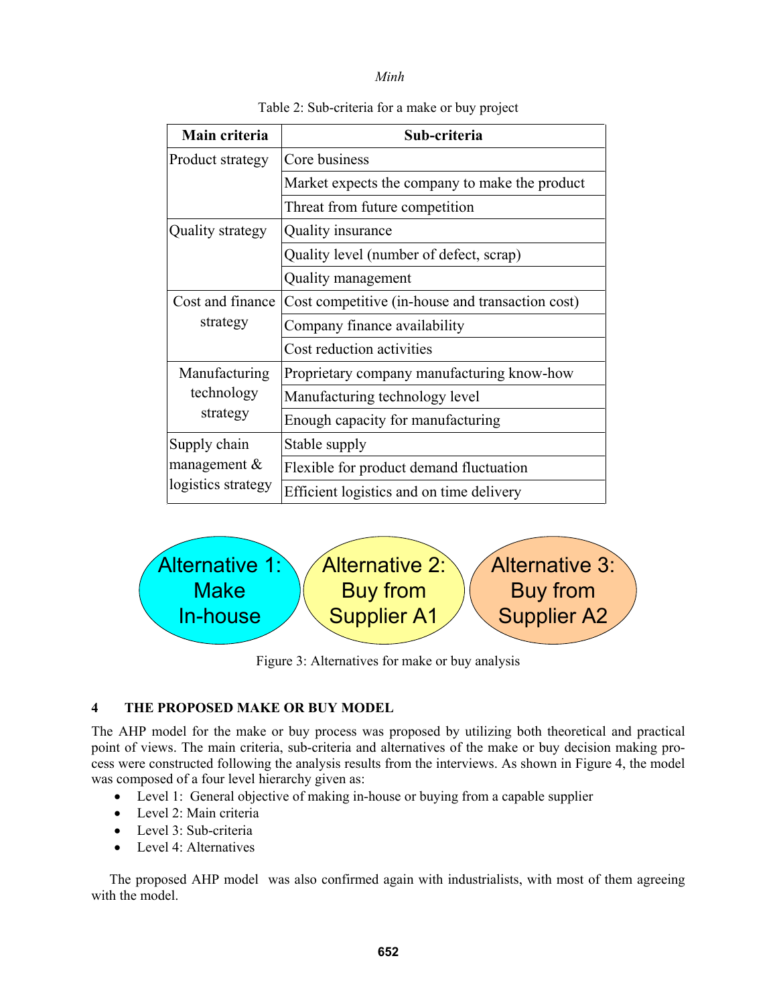| Main criteria                         | Sub-criteria                                     |  |  |
|---------------------------------------|--------------------------------------------------|--|--|
| Product strategy                      | Core business                                    |  |  |
|                                       | Market expects the company to make the product   |  |  |
|                                       | Threat from future competition                   |  |  |
| Quality strategy                      | Quality insurance                                |  |  |
|                                       | Quality level (number of defect, scrap)          |  |  |
|                                       | Quality management                               |  |  |
| Cost and finance<br>strategy          | Cost competitive (in-house and transaction cost) |  |  |
|                                       | Company finance availability                     |  |  |
|                                       | Cost reduction activities                        |  |  |
| Manufacturing                         | Proprietary company manufacturing know-how       |  |  |
| technology                            | Manufacturing technology level                   |  |  |
| strategy                              | Enough capacity for manufacturing                |  |  |
| Supply chain                          | Stable supply                                    |  |  |
| management $\&$<br>logistics strategy | Flexible for product demand fluctuation          |  |  |
|                                       | Efficient logistics and on time delivery         |  |  |

Table 2: Sub-criteria for a make or buy project



Figure 3: Alternatives for make or buy analysis

## **4 THE PROPOSED MAKE OR BUY MODEL**

The AHP model for the make or buy process was proposed by utilizing both theoretical and practical point of views. The main criteria, sub-criteria and alternatives of the make or buy decision making process were constructed following the analysis results from the interviews. As shown in Figure 4, the model was composed of a four level hierarchy given as:

- Level 1: General objective of making in-house or buying from a capable supplier
- Level 2: Main criteria
- Level 3: Sub-criteria
- Level 4: Alternatives

The proposed AHP model was also confirmed again with industrialists, with most of them agreeing with the model.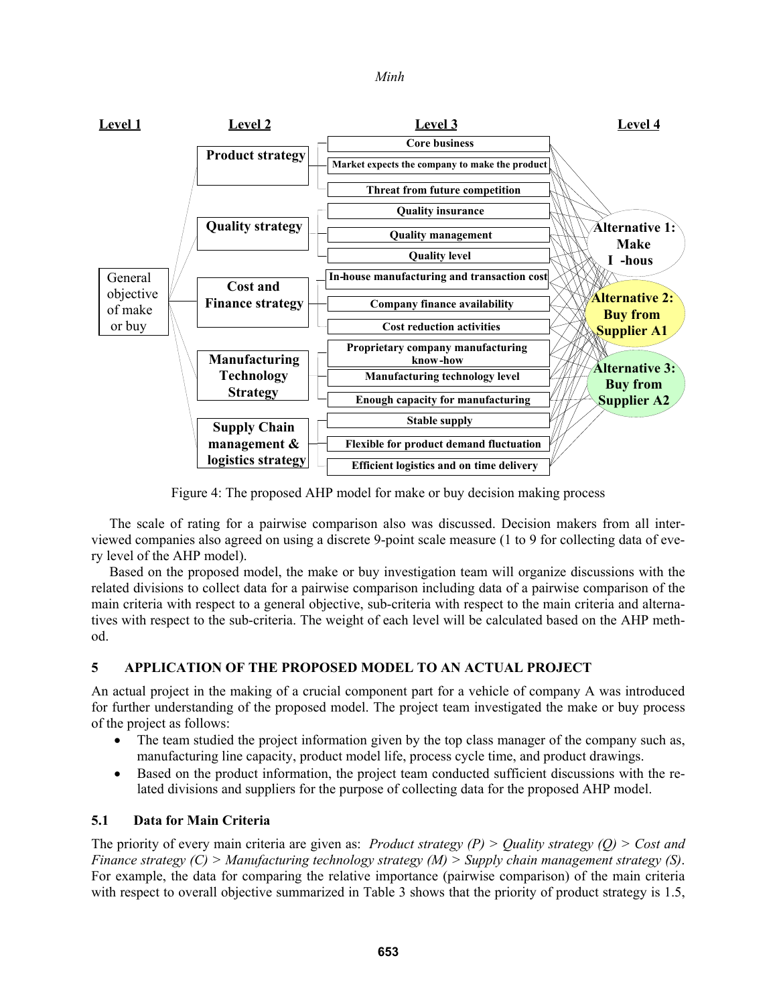

Figure 4: The proposed AHP model for make or buy decision making process

The scale of rating for a pairwise comparison also was discussed. Decision makers from all interviewed companies also agreed on using a discrete 9-point scale measure (1 to 9 for collecting data of every level of the AHP model).

Based on the proposed model, the make or buy investigation team will organize discussions with the related divisions to collect data for a pairwise comparison including data of a pairwise comparison of the main criteria with respect to a general objective, sub-criteria with respect to the main criteria and alternatives with respect to the sub-criteria. The weight of each level will be calculated based on the AHP method.

## **5 APPLICATION OF THE PROPOSED MODEL TO AN ACTUAL PROJECT**

An actual project in the making of a crucial component part for a vehicle of company A was introduced for further understanding of the proposed model. The project team investigated the make or buy process of the project as follows:

- The team studied the project information given by the top class manager of the company such as, manufacturing line capacity, product model life, process cycle time, and product drawings.
- Based on the product information, the project team conducted sufficient discussions with the related divisions and suppliers for the purpose of collecting data for the proposed AHP model.

## **5.1 Data for Main Criteria**

The priority of every main criteria are given as: *Product strategy (P) > Quality strategy (Q) > Cost and Finance strategy (C) > Manufacturing technology strategy (M) > Supply chain management strategy (S)*. For example, the data for comparing the relative importance (pairwise comparison) of the main criteria with respect to overall objective summarized in Table 3 shows that the priority of product strategy is 1.5,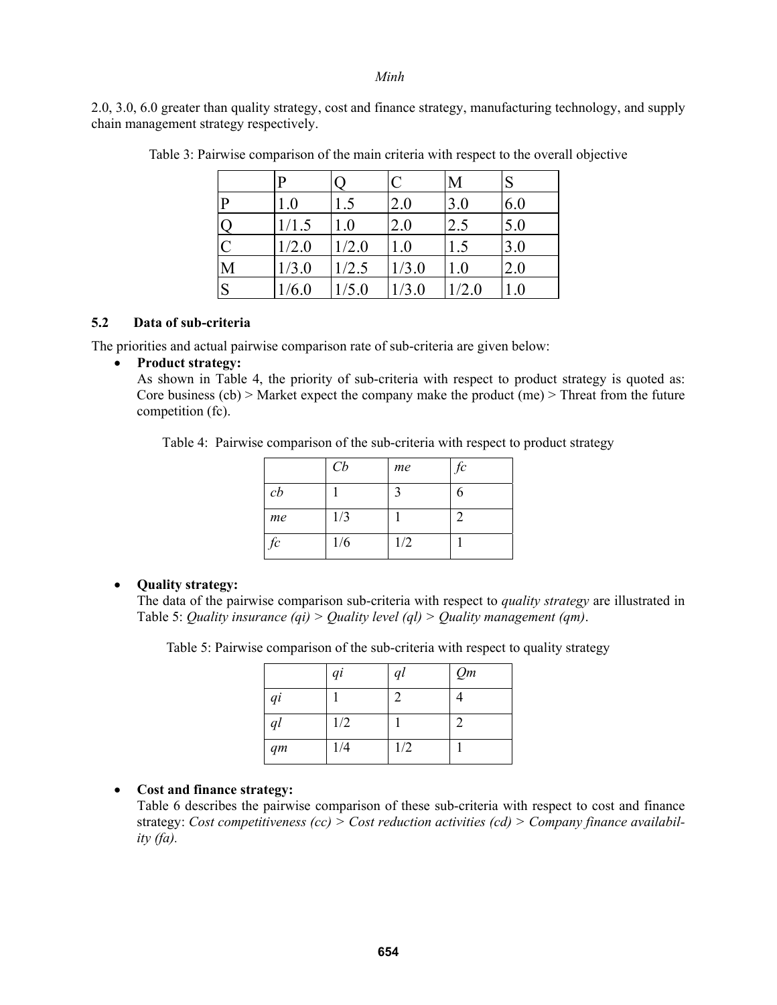2.0, 3.0, 6.0 greater than quality strategy, cost and finance strategy, manufacturing technology, and supply chain management strategy respectively.

|                | P     |       | $\mathcal{C}$ | M     | <sup>S</sup> |
|----------------|-------|-------|---------------|-------|--------------|
| P              | 1.0   | 1.5   | 2.0           | 3.0   | 6.0          |
|                | 1/1.5 | 1.0   | 2.0           | 2.5   | 5.0          |
| $\frac{Q}{C}$  | 1/2.0 | 1/2.0 | 1.0           | 1.5   | 3.0          |
| $\overline{M}$ | 1/3.0 | 1/2.5 | 1/3.0         | 1.0   | 2.0          |
| S              | 1/6.0 | 1/5.0 | 1/3.0         | 1/2.0 | $1.0\,$      |

Table 3: Pairwise comparison of the main criteria with respect to the overall objective

## **5.2 Data of sub-criteria**

The priorities and actual pairwise comparison rate of sub-criteria are given below:

### **Product strategy:**

As shown in Table 4, the priority of sub-criteria with respect to product strategy is quoted as: Core business (cb) > Market expect the company make the product (me) > Threat from the future competition (fc).

Table 4: Pairwise comparison of the sub-criteria with respect to product strategy

|    | Cb  | me  | fc |
|----|-----|-----|----|
| cb |     | 3   |    |
| me | 1/3 |     |    |
| fc | 1/6 | 1/2 |    |

### **Quality strategy:**

The data of the pairwise comparison sub-criteria with respect to *quality strategy* are illustrated in Table 5: *Quality insurance (qi) > Quality level (ql) > Quality management (qm)*.

Table 5: Pairwise comparison of the sub-criteria with respect to quality strategy

|       | qi  | ql  | Qm |
|-------|-----|-----|----|
| qi    |     |     |    |
| $q$ l | 1/2 |     |    |
| qm    | 1/4 | 1/2 |    |

## **Cost and finance strategy:**

Table 6 describes the pairwise comparison of these sub-criteria with respect to cost and finance strategy: *Cost competitiveness (cc) > Cost reduction activities (cd) > Company finance availability (fa).*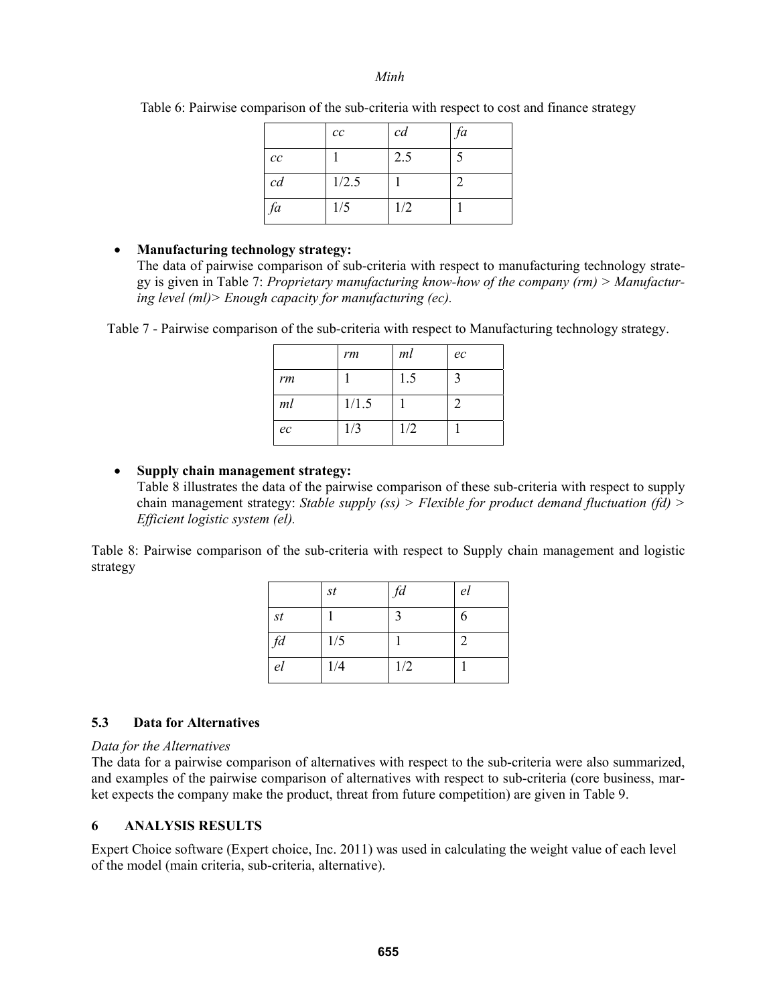|                          | cc    | cd  | fa |
|--------------------------|-------|-----|----|
| $\mathcal{C}\mathcal{C}$ |       | 2.5 |    |
| cd                       | 1/2.5 |     |    |
| fa                       | 1/5   | 1/2 |    |

Table 6: Pairwise comparison of the sub-criteria with respect to cost and finance strategy

## **Manufacturing technology strategy:**

The data of pairwise comparison of sub-criteria with respect to manufacturing technology strategy is given in Table 7: *Proprietary manufacturing know-how of the company (rm) > Manufacturing level (ml)> Enough capacity for manufacturing (ec).*

Table 7 - Pairwise comparison of the sub-criteria with respect to Manufacturing technology strategy.

|    | rm    | ml  | ec |
|----|-------|-----|----|
| rm |       | 1.5 | 3  |
| ml | 1/1.5 |     | 2  |
| ec | 1/3   | 1/2 |    |

## **Supply chain management strategy:**

Table 8 illustrates the data of the pairwise comparison of these sub-criteria with respect to supply chain management strategy: *Stable supply (ss) > Flexible for product demand fluctuation (fd) > Efficient logistic system (el).*

Table 8: Pairwise comparison of the sub-criteria with respect to Supply chain management and logistic strategy

|    | $\mathcal{S}t$ | $\emph{fd}$   | el                          |
|----|----------------|---------------|-----------------------------|
| St |                | $\mathcal{F}$ | 6                           |
| fd | 1/5            |               | $\mathcal{D}_{\mathcal{A}}$ |
| el | 1/4            | 1/2           |                             |

## **5.3 Data for Alternatives**

### *Data for the Alternatives*

The data for a pairwise comparison of alternatives with respect to the sub-criteria were also summarized, and examples of the pairwise comparison of alternatives with respect to sub-criteria (core business, market expects the company make the product, threat from future competition) are given in Table 9.

### **6 ANALYSIS RESULTS**

Expert Choice software (Expert choice, Inc. 2011) was used in calculating the weight value of each level of the model (main criteria, sub-criteria, alternative).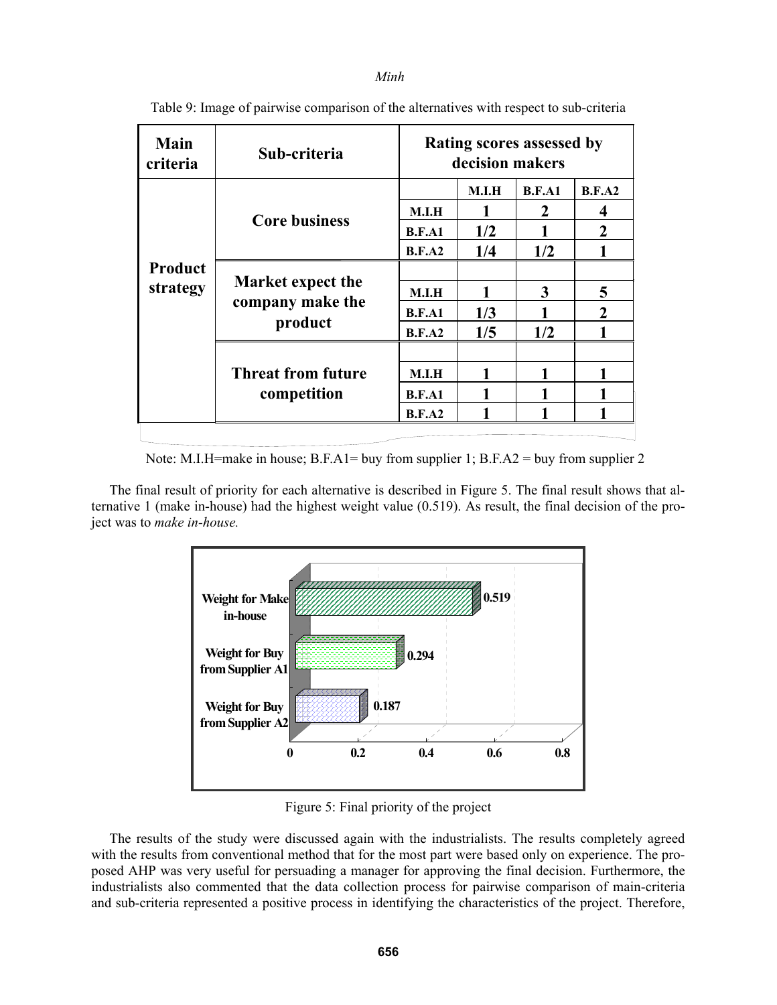| <b>Main</b><br>criteria    | Sub-criteria                                            | Rating scores assessed by<br>decision makers |       |        |                |
|----------------------------|---------------------------------------------------------|----------------------------------------------|-------|--------|----------------|
|                            | <b>Core business</b>                                    |                                              | M.I.H | B.F.A1 | B.F.A2         |
|                            |                                                         | M.I.H                                        |       |        | 4              |
|                            |                                                         | <b>B.F.A1</b>                                | 1/2   |        | $\mathbf{2}$   |
| <b>Product</b><br>strategy |                                                         | B.F.A2                                       | 1/4   | 1/2    |                |
|                            | <b>Market expect the</b><br>company make the<br>product |                                              |       |        |                |
|                            |                                                         | M.I.H                                        |       | 3      | 5              |
|                            |                                                         | <b>B.F.A1</b>                                | 1/3   |        | $\overline{2}$ |
|                            |                                                         | B.F.A2                                       | 1/5   | 1/2    |                |
|                            |                                                         |                                              |       |        |                |
|                            | <b>Threat from future</b><br>competition                | M.I.H                                        |       |        |                |
|                            |                                                         | <b>B.F.A1</b>                                |       |        |                |
|                            |                                                         | B.F.A2                                       |       |        |                |
|                            |                                                         |                                              |       |        |                |

Table 9: Image of pairwise comparison of the alternatives with respect to sub-criteria

Note: M.I.H=make in house; B.F.A1= buy from supplier 1; B.F.A2 = buy from supplier 2

The final result of priority for each alternative is described in Figure 5. The final result shows that alternative 1 (make in-house) had the highest weight value (0.519). As result, the final decision of the project was to *make in-house.*



Figure 5: Final priority of the project

The results of the study were discussed again with the industrialists. The results completely agreed with the results from conventional method that for the most part were based only on experience. The proposed AHP was very useful for persuading a manager for approving the final decision. Furthermore, the industrialists also commented that the data collection process for pairwise comparison of main-criteria and sub-criteria represented a positive process in identifying the characteristics of the project. Therefore,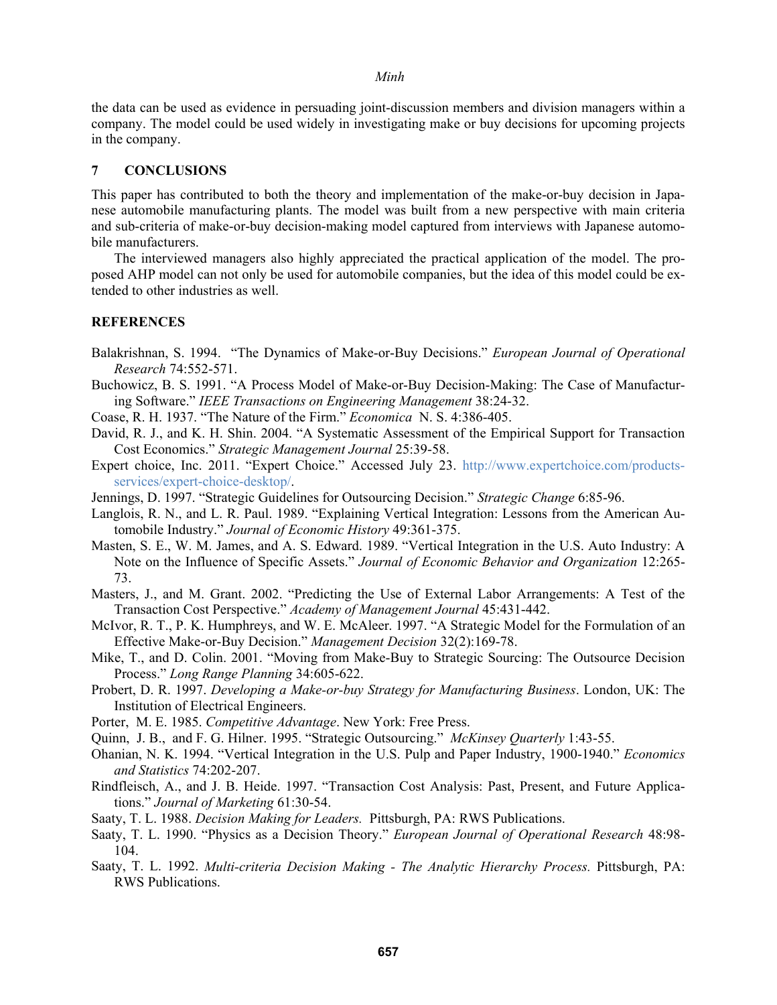the data can be used as evidence in persuading joint-discussion members and division managers within a company. The model could be used widely in investigating make or buy decisions for upcoming projects in the company.

#### **7 CONCLUSIONS**

This paper has contributed to both the theory and implementation of the make-or-buy decision in Japanese automobile manufacturing plants. The model was built from a new perspective with main criteria and sub-criteria of make-or-buy decision-making model captured from interviews with Japanese automobile manufacturers.

The interviewed managers also highly appreciated the practical application of the model. The proposed AHP model can not only be used for automobile companies, but the idea of this model could be extended to other industries as well.

#### **REFERENCES**

- Balakrishnan, S. 1994. "The Dynamics of Make-or-Buy Decisions." *European Journal of Operational Research* 74:552-571.
- Buchowicz, B. S. 1991. "A Process Model of Make-or-Buy Decision-Making: The Case of Manufacturing Software." *IEEE Transactions on Engineering Management* 38:24-32.
- Coase, R. H. 1937. "The Nature of the Firm." *Economica* N. S. 4:386-405.
- David, R. J., and K. H. Shin. 2004. "A Systematic Assessment of the Empirical Support for Transaction Cost Economics." *Strategic Management Journal* 25:39-58.
- Expert choice, Inc. 2011. "Expert Choice." Accessed July 23. http://www.expertchoice.com/productsservices/expert-choice-desktop/.
- Jennings, D. 1997. "Strategic Guidelines for Outsourcing Decision." *Strategic Change* 6:85-96.
- Langlois, R. N., and L. R. Paul. 1989. "Explaining Vertical Integration: Lessons from the American Automobile Industry." *Journal of Economic History* 49:361-375.
- Masten, S. E., W. M. James, and A. S. Edward. 1989. "Vertical Integration in the U.S. Auto Industry: A Note on the Influence of Specific Assets." *Journal of Economic Behavior and Organization* 12:265- 73.
- Masters, J., and M. Grant. 2002. "Predicting the Use of External Labor Arrangements: A Test of the Transaction Cost Perspective." *Academy of Management Journal* 45:431-442.
- McIvor, R. T., P. K. Humphreys, and W. E. McAleer. 1997. "A Strategic Model for the Formulation of an Effective Make-or-Buy Decision." *Management Decision* 32(2):169-78.
- Mike, T., and D. Colin. 2001. "Moving from Make-Buy to Strategic Sourcing: The Outsource Decision Process." *Long Range Planning* 34:605-622.
- Probert, D. R. 1997. *Developing a Make-or-buy Strategy for Manufacturing Business*. London, UK: The Institution of Electrical Engineers.
- Porter, M. E. 1985. *Competitive Advantage*. New York: Free Press.
- Quinn, J. B., and F. G. Hilner. 1995. "Strategic Outsourcing." *McKinsey Quarterly* 1:43-55.
- Ohanian, N. K. 1994. "Vertical Integration in the U.S. Pulp and Paper Industry, 1900-1940." *Economics and Statistics* 74:202-207.
- Rindfleisch, A., and J. B. Heide. 1997. "Transaction Cost Analysis: Past, Present, and Future Applications." *Journal of Marketing* 61:30-54.
- Saaty, T. L. 1988. *Decision Making for Leaders.* Pittsburgh, PA: RWS Publications.
- Saaty, T. L. 1990. "Physics as a Decision Theory." *European Journal of Operational Research* 48:98- 104.
- Saaty, T. L. 1992. *Multi-criteria Decision Making The Analytic Hierarchy Process.* Pittsburgh, PA: RWS Publications.